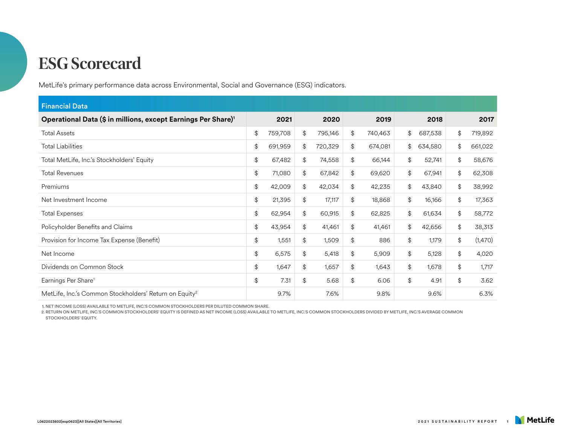MetLife's primary performance data across Environmental, Social and Governance (ESG) indicators.

| <b>Financial Data</b>                                                     |    |         |    |         |    |         |    |         |               |         |
|---------------------------------------------------------------------------|----|---------|----|---------|----|---------|----|---------|---------------|---------|
| Operational Data (\$ in millions, except Earnings Per Share) <sup>1</sup> |    | 2021    |    | 2020    |    | 2019    |    | 2018    |               | 2017    |
| <b>Total Assets</b>                                                       | \$ | 759,708 | \$ | 795,146 | \$ | 740,463 | \$ | 687,538 | \$            | 719,892 |
| <b>Total Liabilities</b>                                                  | \$ | 691,959 | \$ | 720,329 | \$ | 674,081 | \$ | 634,580 | \$            | 661,022 |
| Total MetLife, Inc.'s Stockholders' Equity                                | \$ | 67,482  | \$ | 74,558  | \$ | 66,144  | \$ | 52,741  | $\frac{1}{2}$ | 58,676  |
| <b>Total Revenues</b>                                                     | \$ | 71,080  | \$ | 67,842  | \$ | 69,620  | \$ | 67,941  | $\frac{1}{2}$ | 62,308  |
| Premiums                                                                  | \$ | 42,009  | \$ | 42,034  | \$ | 42,235  | \$ | 43,840  | $\frac{1}{2}$ | 38,992  |
| Net Investment Income                                                     | \$ | 21,395  | \$ | 17,117  | \$ | 18,868  | \$ | 16,166  | $\frac{1}{2}$ | 17,363  |
| <b>Total Expenses</b>                                                     | \$ | 62,954  | \$ | 60,915  | \$ | 62,825  | \$ | 61,634  | \$            | 58,772  |
| Policyholder Benefits and Claims                                          | \$ | 43,954  | \$ | 41,461  | \$ | 41,461  | \$ | 42,656  | \$            | 38,313  |
| Provision for Income Tax Expense (Benefit)                                | \$ | 1,551   | \$ | 1,509   | \$ | 886     | \$ | 1,179   | $\frac{1}{2}$ | (1,470) |
| Net Income                                                                | \$ | 6,575   | \$ | 5,418   | \$ | 5,909   | \$ | 5,128   | $\frac{1}{2}$ | 4,020   |
| Dividends on Common Stock                                                 | \$ | 1,647   | \$ | 1,657   | \$ | 1,643   | \$ | 1,678   | \$            | 1,717   |
| Earnings Per Share <sup>1</sup>                                           | \$ | 7.31    | \$ | 5.68    | \$ | 6.06    | \$ | 4.91    | \$            | 3.62    |
| MetLife, Inc.'s Common Stockholders' Return on Equity <sup>2</sup>        |    | 9.7%    |    | 7.6%    |    | 9.8%    |    | 9.6%    |               | 6.3%    |

1. NET INCOME (LOSS) AVAILABLE TO METLIFE, INC.'S COMMON STOCKHOLDERS PER DILUTED COMMON SHARE.

2. RETURN ON METLIFE, INC.'S COMMON STOCKHOLDERS' EQUITY IS DEFINED AS NET INCOME (LOSS) AVAILABLE TO METLIFE, INC.'S COMMON STOCKHOLDERS DIVIDED BY METLIFE, INC.'S AVERAGE COMMON STOCKHOLDERS' EQUITY.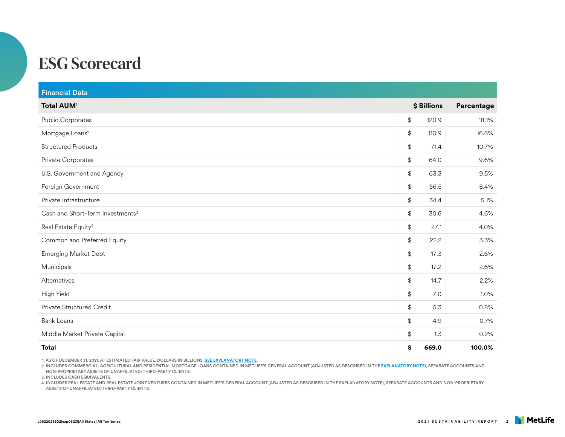| <b>Financial Data</b>                        |                                           |             |            |
|----------------------------------------------|-------------------------------------------|-------------|------------|
| <b>Total AUM<sup>1</sup></b>                 |                                           | \$ Billions | Percentage |
| Public Corporates                            | \$                                        | 120.9       | 18.1%      |
| Mortgage Loans <sup>2</sup>                  | \$                                        | 110.9       | 16.6%      |
| <b>Structured Products</b>                   | \$                                        | 71.4        | 10.7%      |
| Private Corporates                           | \$                                        | 64.0        | 9.6%       |
| U.S. Government and Agency                   | \$                                        | 63.3        | 9.5%       |
| Foreign Government                           | \$                                        | 56.5        | 8.4%       |
| Private Infrastructure                       | \$                                        | 34.4        | 5.1%       |
| Cash and Short-Term Investments <sup>3</sup> | $\, \, \raisebox{12pt}{$\scriptstyle \$}$ | 30.6        | 4.6%       |
| Real Estate Equity <sup>4</sup>              | $\, \, \raisebox{12pt}{$\scriptstyle \$}$ | 27.1        | 4.0%       |
| Common and Preferred Equity                  | \$                                        | 22.2        | 3.3%       |
| <b>Emerging Market Debt</b>                  | \$                                        | 17.3        | 2.6%       |
| Municipals                                   | \$                                        | 17.2        | 2.6%       |
| Alternatives                                 | $\, \, \raisebox{12pt}{$\scriptstyle \$}$ | 14.7        | 2.2%       |
| High Yield                                   | \$                                        | 7.0         | 1.0%       |
| Private Structured Credit                    | $\, \, \raisebox{12pt}{$\scriptstyle \$}$ | 5.3         | 0.8%       |
| <b>Bank Loans</b>                            | \$                                        | 4.9         | 0.7%       |
| Middle Market Private Capital                | \$                                        | 1.3         | 0.2%       |
| Total                                        | \$                                        | 669.0       | 100.0%     |

1. AS OF DECEMBER 31, 2021. AT ESTIMATED FAIR VALUE. DOLLARS IN BILLIONS. **[SEE EXPLANATORY NOTE](https://www.metlife.com/content/dam/metlifecom/us/sustainability/pdf/MET-006_01_SR-2021_v32_Explantory_Note.pdf)**.

2. INCLUDES COMMERCIAL, AGRICULTURAL AND RESIDENTIAL MORTGAGE LOANS CONTAINED IN METLIFE'S GENERAL ACCOUNT (ADJUSTED AS DESCRIBED IN THE **[EXPLANATORY NOTE](https://www.metlife.com/content/dam/metlifecom/us/sustainability/pdf/MET-006_01_SR-2021_v32_Explantory_Note.pdf)**), SEPARATE ACCOUNTS AND NON-PROPRIETARY ASSETS OF UNAFFILIATED/THIRD-PARTY CLIENTS.

3. INCLUDES CASH EQUIVALENTS.

4. INCLUDES REAL ESTATE AND REAL ESTATE JOINT VENTURES CONTAINED IN METLIFE'S GENERAL ACCOUNT (ADJUSTED AS DESCRIBED IN THE EXPLANATORY NOTE), SEPARATE ACCOUNTS AND NON-PROPRIETARY ASSETS OF UNAFFILIATED/THIRD-PARTY CLIENTS.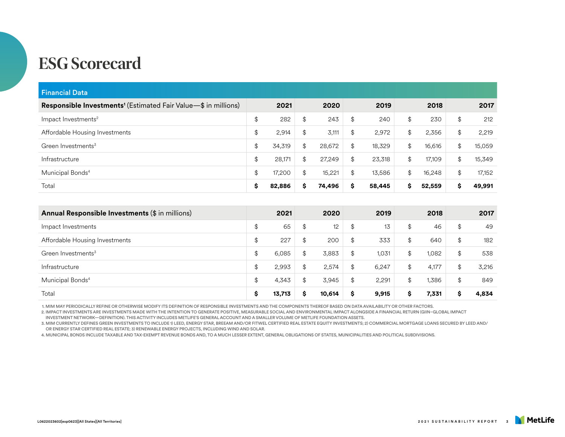| <b>Financial Data</b>                                                      |              |              |              |              |                                           |        |
|----------------------------------------------------------------------------|--------------|--------------|--------------|--------------|-------------------------------------------|--------|
| Responsible Investments <sup>1</sup> (Estimated Fair Value-\$ in millions) | 2021         | 2020         | 2019         | 2018         |                                           | 2017   |
| Impact Investments <sup>2</sup>                                            | \$<br>282    | \$<br>243    | \$<br>240    | \$<br>230    | $\frac{1}{2}$                             | 212    |
| Affordable Housing Investments                                             | \$<br>2,914  | \$<br>3,111  | \$<br>2,972  | \$<br>2,356  | \$                                        | 2,219  |
| Green Investments <sup>3</sup>                                             | \$<br>34,319 | \$<br>28,672 | \$<br>18,329 | \$<br>16,616 | $\, \, \raisebox{12pt}{$\scriptstyle \$}$ | 15,059 |
| Infrastructure                                                             | \$<br>28,171 | \$<br>27,249 | \$<br>23,318 | \$<br>17,109 | \$                                        | 15,349 |
| Municipal Bonds <sup>4</sup>                                               | \$<br>17,200 | \$<br>15,221 | \$<br>13,586 | \$<br>16,248 | \$                                        | 17,152 |
| Total                                                                      | \$<br>82,886 | \$<br>74,496 | \$<br>58,445 | \$<br>52,559 | \$                                        | 49,991 |
|                                                                            |              |              |              |              |                                           |        |
| Annual Responsible Investments (\$ in millions)                            | 2021         | 2020         | 2019         | 2018         |                                           | 2017   |
| Impact Investments                                                         | \$<br>65     | \$<br>12     | \$<br>13     | \$<br>46     | \$                                        | 49     |
| Affordable Housing Investments                                             | \$<br>227    | \$<br>200    | \$<br>333    | \$<br>640    | \$                                        | 182    |
| Green Investments <sup>3</sup>                                             | \$<br>6,085  | \$<br>3,883  | \$<br>1,031  | \$<br>1,082  | \$                                        | 538    |
| Infrastructure                                                             | \$<br>2,993  | \$<br>2,574  | \$<br>6,247  | \$<br>4,177  | \$                                        | 3,216  |
| Municipal Bonds <sup>4</sup>                                               | \$<br>4,343  | \$<br>3,945  | \$<br>2,291  | \$<br>1,386  | \$                                        | 849    |
| Total                                                                      | \$<br>13,713 | \$<br>10,614 | \$<br>9,915  | \$<br>7,331  | \$                                        | 4.834  |

1. MIM MAY PERIODICALLY REFINE OR OTHERWISE MODIFY ITS DEFINITION OF RESPONSIBLE INVESTMENTS AND THE COMPONENTS THEREOF BASED ON DATA AVAILABILITY OR OTHER FACTORS.

2. IMPACT INVESTMENTS ARE INVESTMENTS MADE WITH THE INTENTION TO GENERATE POSITIVE, MEASURABLE SOCIAL AND ENVIRONMENTAL IMPACT ALONGSIDE A FINANCIAL RETURN (GIIN–GLOBAL IMPACT

INVESTMENT NETWORK—DEFINITION). THIS ACTIVITY INCLUDES METLIFE'S GENERAL ACCOUNT AND A SMALLER VOLUME OF METLIFE FOUNDATION ASSETS.

3. MIM CURRENTLY DEFINES GREEN INVESTMENTS TO INCLUDE 1) LEED, ENERGY STAR, BREEAM AND/OR FITWEL CERTIFIED REAL ESTATE EQUITY INVESTMENTS; 2) COMMERCIAL MORTGAGE LOANS SECURED BY LEED AND/ OR ENERGY STAR CERTIFIED REAL ESTATE; 3) RENEWABLE ENERGY PROJECTS, INCLUDING WIND AND SOLAR.

4. MUNICIPAL BONDS INCLUDE TAXABLE AND TAX-EXEMPT REVENUE BONDS AND, TO A MUCH LESSER EXTENT, GENERAL OBLIGATIONS OF STATES, MUNICIPALITIES AND POLITICAL SUBDIVISIONS.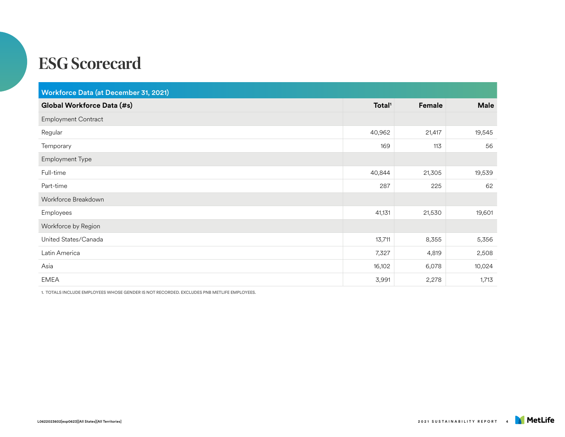| Workforce Data (at December 31, 2021) |                    |        |             |  |  |  |
|---------------------------------------|--------------------|--------|-------------|--|--|--|
| Global Workforce Data (#s)            | Total <sup>1</sup> | Female | <b>Male</b> |  |  |  |
| <b>Employment Contract</b>            |                    |        |             |  |  |  |
| Regular                               | 40,962             | 21,417 | 19,545      |  |  |  |
| Temporary                             | 169                | 113    | 56          |  |  |  |
| Employment Type                       |                    |        |             |  |  |  |
| Full-time                             | 40,844             | 21,305 | 19,539      |  |  |  |
| Part-time                             | 287                | 225    | 62          |  |  |  |
| Workforce Breakdown                   |                    |        |             |  |  |  |
| Employees                             | 41,131             | 21,530 | 19,601      |  |  |  |
| Workforce by Region                   |                    |        |             |  |  |  |
| United States/Canada                  | 13,711             | 8,355  | 5,356       |  |  |  |
| Latin America                         | 7,327              | 4,819  | 2,508       |  |  |  |
| Asia                                  | 16,102             | 6,078  | 10,024      |  |  |  |
| <b>EMEA</b>                           | 3,991              | 2,278  | 1,713       |  |  |  |

1. TOTALS INCLUDE EMPLOYEES WHOSE GENDER IS NOT RECORDED. EXCLUDES PNB METLIFE EMPLOYEES.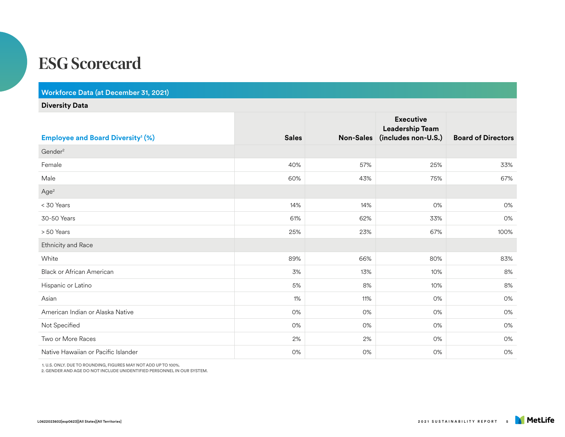Workforce Data (at December 31, 2021)

#### **Diversity Data**

|                                                     |              |           | <b>Executive</b><br><b>Leadership Team</b> |                           |
|-----------------------------------------------------|--------------|-----------|--------------------------------------------|---------------------------|
| <b>Employee and Board Diversity<sup>1</sup> (%)</b> | <b>Sales</b> | Non-Sales | (includes non-U.S.)                        | <b>Board of Directors</b> |
| Gender <sup>2</sup>                                 |              |           |                                            |                           |
| Female                                              | 40%          | 57%       | 25%                                        | 33%                       |
| Male                                                | 60%          | 43%       | 75%                                        | 67%                       |
| Age <sup>2</sup>                                    |              |           |                                            |                           |
| < 30 Years                                          | 14%          | 14%       | 0%                                         | 0%                        |
| 30-50 Years                                         | 61%          | 62%       | 33%                                        | 0%                        |
| > 50 Years                                          | 25%          | 23%       | 67%                                        | 100%                      |
| Ethnicity and Race                                  |              |           |                                            |                           |
| White                                               | 89%          | 66%       | 80%                                        | 83%                       |
| <b>Black or African American</b>                    | 3%           | 13%       | 10%                                        | 8%                        |
| Hispanic or Latino                                  | 5%           | 8%        | 10%                                        | 8%                        |
| Asian                                               | 1%           | 11%       | 0%                                         | 0%                        |
| American Indian or Alaska Native                    | 0%           | 0%        | 0%                                         | 0%                        |
| Not Specified                                       | 0%           | 0%        | 0%                                         | 0%                        |
| Two or More Races                                   | 2%           | 2%        | 0%                                         | 0%                        |
| Native Hawaiian or Pacific Islander                 | 0%           | 0%        | 0%                                         | 0%                        |

1. U.S. ONLY. DUE TO ROUNDING, FIGURES MAY NOT ADD UP TO 100%.

2. GENDER AND AGE DO NOT INCLUDE UNIDENTIFIED PERSONNEL IN OUR SYSTEM.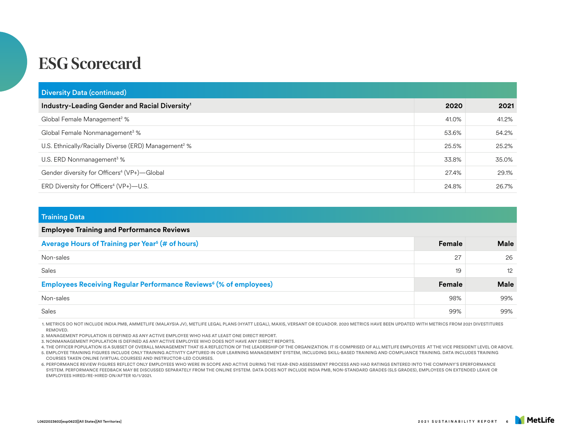| <b>Diversity Data (continued)</b>                                |       |       |
|------------------------------------------------------------------|-------|-------|
| Industry-Leading Gender and Racial Diversity <sup>1</sup>        | 2020  | 2021  |
| Global Female Management <sup>2</sup> %                          | 41.0% | 41.2% |
| Global Female Nonmanagement <sup>3</sup> %                       | 53.6% | 54.2% |
| U.S. Ethnically/Racially Diverse (ERD) Management <sup>2</sup> % | 25.5% | 25.2% |
| U.S. ERD Nonmanagement <sup>3</sup> $%$                          | 33.8% | 35.0% |
| Gender diversity for Officers <sup>4</sup> (VP+)-Global          | 27.4% | 29.1% |
| ERD Diversity for Officers <sup>4</sup> (VP+)-U.S.               | 24.8% | 26.7% |

| <b>Training Data</b>                                                                |        |             |  |  |  |
|-------------------------------------------------------------------------------------|--------|-------------|--|--|--|
| <b>Employee Training and Performance Reviews</b>                                    |        |             |  |  |  |
| Average Hours of Training per Year <sup>5</sup> (# of hours)                        | Female | <b>Male</b> |  |  |  |
| Non-sales                                                                           | 27     | 26          |  |  |  |
| Sales                                                                               | 19     | 12          |  |  |  |
| <b>Employees Receiving Regular Performance Reviews<sup>6</sup> (% of employees)</b> | Female | <b>Male</b> |  |  |  |
| Non-sales                                                                           | 98%    | 99%         |  |  |  |
| Sales                                                                               | 99%    | 99%         |  |  |  |

1. METRICS DO NOT INCLUDE INDIA PMB, AMMETLIFE (MALAYSIA JV), METLIFE LEGAL PLANS (HYATT LEGAL), MAXIS, VERSANT OR ECUADOR. 2020 METRICS HAVE BEEN UPDATED WITH METRICS FROM 2021 DIVESTITURES REMOVED.

2. MANAGEMENT POPULATION IS DEFINED AS ANY ACTIVE EMPLOYEE WHO HAS AT LEAST ONE DIRECT REPORT.

3. NONMANAGEMENT POPULATION IS DEFINED AS ANY ACTIVE EMPLOYEE WHO DOES NOT HAVE ANY DIRECT REPORTS.

4. THE OFFICER POPULATION IS A SUBSET OF OVERALL MANAGEMENT THAT IS A REFLECTION OF THE LEADERSHIP OF THE ORGANIZATION. IT IS COMPRISED OF ALL METLIFE EMPLOYEES AT THE VICE PRESIDENT LEVEL OR ABOVE.

5. EMPLOYEE TRAINING FIGURES INCLUDE ONLY TRAINING ACTIVITY CAPTURED IN OUR LEARNING MANAGEMENT SYSTEM, INCLUDING SKILL-BASED TRAINING AND COMPLIANCE TRAINING. DATA INCLUDES TRAINING COURSES TAKEN ONLINE (VIRTUAL COURSES) AND INSTRUCTOR-LED COURSES.

6. PERFORMANCE REVIEW FIGURES REFLECT ONLY EMPLOYEES WHO WERE IN SCOPE AND ACTIVE DURING THE YEAR-END ASSESSMENT PROCESS AND HAD RATINGS ENTERED INTO THE COMPANY'S EPERFORMANCE SYSTEM. PERFORMANCE FEEDBACK MAY BE DISCUSSED SEPARATELY FROM THE ONLINE SYSTEM. DATA DOES NOT INCLUDE INDIA PMB, NON-STANDARD GRADES (SLS GRADES), EMPLOYEES ON EXTENDED LEAVE OR EMPLOYEES HIRED/RE-HIRED ON/AFTER 10/1/2021.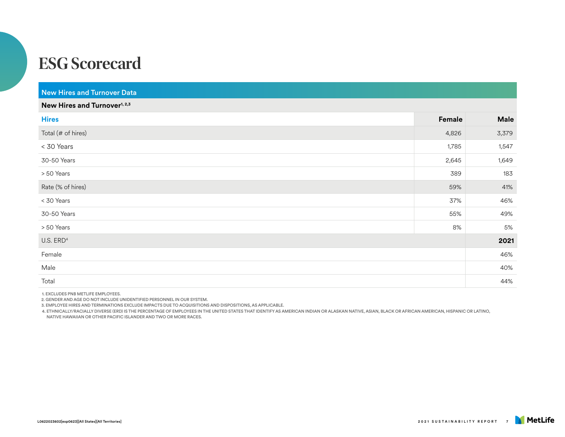| <b>New Hires and Turnover Data</b>       |        |       |  |  |  |
|------------------------------------------|--------|-------|--|--|--|
| New Hires and Turnover <sup>1, 2,3</sup> |        |       |  |  |  |
| <b>Hires</b>                             | Female | Male  |  |  |  |
| Total (# of hires)                       | 4,826  | 3,379 |  |  |  |
| < 30 Years                               | 1,785  | 1,547 |  |  |  |
| 30-50 Years                              | 2,645  | 1,649 |  |  |  |
| > 50 Years                               | 389    | 183   |  |  |  |
| Rate (% of hires)                        | 59%    | 41%   |  |  |  |
| < 30 Years                               | 37%    | 46%   |  |  |  |
| 30-50 Years                              | 55%    | 49%   |  |  |  |
| > 50 Years                               | $8\%$  | 5%    |  |  |  |
| $U.S.$ ERD <sup>4</sup>                  |        | 2021  |  |  |  |
| Female                                   |        | 46%   |  |  |  |
| Male                                     |        | 40%   |  |  |  |
| Total                                    |        | 44%   |  |  |  |

1. EXCLUDES PNB METLIFE EMPLOYEES.

2. GENDER AND AGE DO NOT INCLUDE UNIDENTIFIED PERSONNEL IN OUR SYSTEM.

3. EMPLOYEE HIRES AND TERMINATIONS EXCLUDE IMPACTS DUE TO ACQUISITIONS AND DISPOSITIONS, AS APPLICABLE.

4. ETHNICALLY/RACIALLY DIVERSE (ERD) IS THE PERCENTAGE OF EMPLOYEES IN THE UNITED STATES THAT IDENTIFY AS AMERICAN INDIAN OR ALASKAN NATIVE, ASIAN, BLACK OR AFRICAN AMERICAN, HISPANIC OR LATINO,

NATIVE HAWAIIAN OR OTHER PACIFIC ISLANDER AND TWO OR MORE RACES.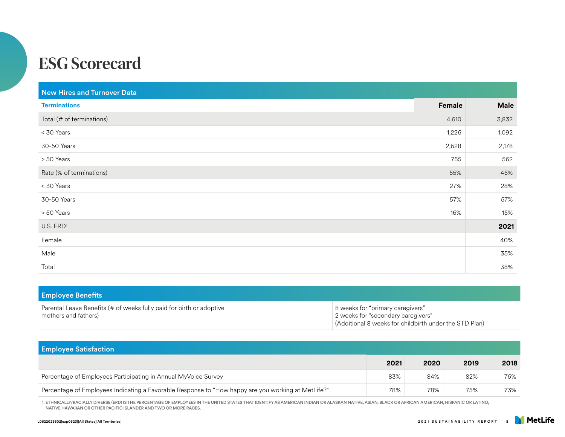| <b>New Hires and Turnover Data</b> |        |             |
|------------------------------------|--------|-------------|
| <b>Terminations</b>                | Female | <b>Male</b> |
| Total (# of terminations)          | 4,610  | 3,832       |
| < 30 Years                         | 1,226  | 1,092       |
| 30-50 Years                        | 2,628  | 2,178       |
| > 50 Years                         | 755    | 562         |
| Rate (% of terminations)           | 55%    | 45%         |
| < 30 Years                         | 27%    | 28%         |
| 30-50 Years                        | 57%    | 57%         |
| > 50 Years                         | 16%    | 15%         |
| $U.S.$ $ERD1$                      |        | 2021        |
| Female                             |        | 40%         |
| Male                               |        | 35%         |
| Total                              |        | 38%         |

| <b>Employee Benefits</b>                                                                     |                                                                                                                                  |
|----------------------------------------------------------------------------------------------|----------------------------------------------------------------------------------------------------------------------------------|
| Parental Leave Benefits (# of weeks fully paid for birth or adoptive<br>mothers and fathers) | 8 weeks for "primary caregivers"<br>2 weeks for "secondary caregivers"<br>(Additional 8 weeks for childbirth under the STD Plan) |

| <b>Employee Satisfaction</b>                                                                       |      |      |      |      |  |  |  |
|----------------------------------------------------------------------------------------------------|------|------|------|------|--|--|--|
|                                                                                                    | 2021 | 2020 | 2019 | 2018 |  |  |  |
| Percentage of Employees Participating in Annual MyVoice Survey                                     | 83%  | 84%  | 82%  | 76%  |  |  |  |
| Percentage of Employees Indicating a Favorable Response to "How happy are you working at MetLife?" | 78%  | 78%  | 75%  | 73%  |  |  |  |

1. ETHNICALLY/RACIALLY DIVERSE (ERD) IS THE PERCENTAGE OF EMPLOYEES IN THE UNITED STATES THAT IDENTIFY AS AMERICAN INDIAN OR ALASKAN NATIVE, ASIAN, BLACK OR AFRICAN AMERICAN, HISPANIC OR LATINO, NATIVE HAWAIIAN OR OTHER PACIFIC ISLANDER AND TWO OR MORE RACES.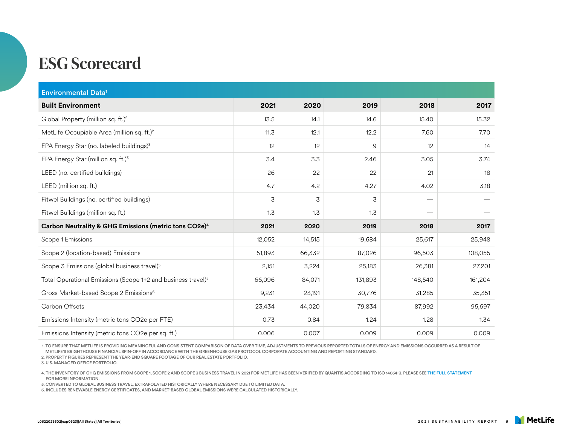| <b>Environmental Data<sup>1</sup></b>                                    |        |        |         |                                 |         |
|--------------------------------------------------------------------------|--------|--------|---------|---------------------------------|---------|
| <b>Built Environment</b>                                                 | 2021   | 2020   | 2019    | 2018                            | 2017    |
| Global Property (million sq. ft.) <sup>2</sup>                           | 13.5   | 14.1   | 14.6    | 15.40                           | 15.32   |
| MetLife Occupiable Area (million sq. ft.) <sup>2</sup>                   | 11.3   | 12.1   | 12.2    | 7.60                            | 7.70    |
| EPA Energy Star (no. labeled buildings) <sup>3</sup>                     | 12     | 12     | 9       | 12                              | 14      |
| EPA Energy Star (million sq. ft.) <sup>3</sup>                           | 3.4    | 3.3    | 2.46    | 3.05                            | 3.74    |
| LEED (no. certified buildings)                                           | 26     | 22     | 22      | 21                              | 18      |
| LEED (million sq. ft.)                                                   | 4.7    | 4.2    | 4.27    | 4.02                            | 3.18    |
| Fitwel Buildings (no. certified buildings)                               | 3      | 3      | 3       | $\hspace{0.1mm}-\hspace{0.1mm}$ |         |
| Fitwel Buildings (million sq. ft.)                                       | 1.3    | 1.3    | 1.3     |                                 |         |
| Carbon Neutrality & GHG Emissions (metric tons CO2e) <sup>4</sup>        | 2021   | 2020   | 2019    | 2018                            | 2017    |
| Scope 1 Emissions                                                        | 12,052 | 14,515 | 19,684  | 25,617                          | 25,948  |
| Scope 2 (location-based) Emissions                                       | 51,893 | 66,332 | 87,026  | 96,503                          | 108,055 |
| Scope 3 Emissions (global business travel) <sup>5</sup>                  | 2,151  | 3,224  | 25,183  | 26,381                          | 27,201  |
| Total Operational Emissions (Scope 1+2 and business travel) <sup>5</sup> | 66,096 | 84,071 | 131,893 | 148,540                         | 161,204 |
| Gross Market-based Scope 2 Emissions <sup>6</sup>                        | 9,231  | 23,191 | 30,776  | 31,285                          | 35,351  |
| Carbon Offsets                                                           | 23,434 | 44,020 | 79,834  | 87,992                          | 95,697  |
| Emissions Intensity (metric tons CO2e per FTE)                           | 0.73   | 0.84   | 1.24    | 1.28                            | 1.34    |
| Emissions Intensity (metric tons CO2e per sq. ft.)                       | 0.006  | 0.007  | 0.009   | 0.009                           | 0.009   |

1. TO ENSURE THAT METLIFE IS PROVIDING MEANINGFUL AND CONSISTENT COMPARISON OF DATA OVER TIME, ADJUSTMENTS TO PREVIOUS REPORTED TOTALS OF ENERGY AND EMISSIONS OCCURRED AS A RESULT OF METLIFE'S BRIGHTHOUSE FINANCIAL SPIN-OFF IN ACCORDANCE WITH THE GREENHOUSE GAS PROTOCOL CORPORATE ACCOUNTING AND REPORTING STANDARD.

2. PROPERTY FIGURES REPRESENT THE YEAR-END SQUARE FOOTAGE OF OUR REAL ESTATE PORTFOLIO.

3. U.S. MANAGED OFFICE PORTFOLIO.

4. THE INVENTORY OF GHG EMISSIONS FROM SCOPE 1, SCOPE 2 AND SCOPE 3 BUSINESS TRAVEL IN 2021 FOR METLIFE HAS BEEN VERIFIED BY QUANTIS ACCORDING TO ISO 14064-3. PLEASE SEE **[THE FULL STATEMENT](https://www.metlife.com/content/dam/metlifecom/us/sustainability/pdf/data/policies-codes/environment/MetLife_Verificationletter_FY2021_06_02_2022_Final.pdf)** FOR MORE INFORMATION.

5. CONVERTED TO GLOBAL BUSINESS TRAVEL, EXTRAPOLATED HISTORICALLY WHERE NECESSARY DUE TO LIMITED DATA.

6. INCLUDES RENEWABLE ENERGY CERTIFICATES, AND MARKET-BASED GLOBAL EMISSIONS WERE CALCULATED HISTORICALLY.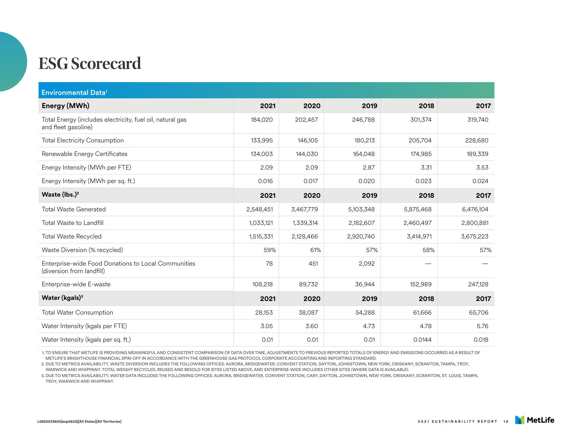| <b>Environmental Data<sup>1</sup></b>                                            |           |           |           |           |           |
|----------------------------------------------------------------------------------|-----------|-----------|-----------|-----------|-----------|
| Energy (MWh)                                                                     | 2021      | 2020      | 2019      | 2018      | 2017      |
| Total Energy (includes electricity, fuel oil, natural gas<br>and fleet gasoline) | 184,020   | 202,457   | 246,788   | 301,374   | 319,740   |
| <b>Total Electricity Consumption</b>                                             | 133,995   | 146,105   | 180,213   | 205,704   | 228,680   |
| Renewable Energy Certificates                                                    | 134,003   | 144,030   | 164,048   | 174,985   | 189,339   |
| Energy Intensity (MWh per FTE)                                                   | 2.09      | 2.09      | 2.87      | 3.31      | 3.53      |
| Energy Intensity (MWh per sq. ft.)                                               | 0.016     | 0.017     | 0.020     | 0.023     | 0.024     |
| Waste (lbs.) <sup>2</sup>                                                        | 2021      | 2020      | 2019      | 2018      | 2017      |
| <b>Total Waste Generated</b>                                                     | 2,548,451 | 3,467,779 | 5,103,348 | 5,875,468 | 6,476,104 |
| Total Waste to Landfill                                                          | 1,033,121 | 1,339,314 | 2,182,607 | 2,460,497 | 2,800,881 |
| <b>Total Waste Recycled</b>                                                      | 1,515,331 | 2,128,466 | 2,920,740 | 3,414,971 | 3,675,223 |
| Waste Diversion (% recycled)                                                     | 59%       | 61%       | 57%       | 58%       | 57%       |
| Enterprise-wide Food Donations to Local Communities<br>(diversion from landfill) | 78        | 451       | 2,092     |           |           |
| Enterprise-wide E-waste                                                          | 108,218   | 89,732    | 36,944    | 152,989   | 247,128   |
| Water (kgals) $3$                                                                | 2021      | 2020      | 2019      | 2018      | 2017      |
| <b>Total Water Consumption</b>                                                   | 28,153    | 38,087    | 54,288    | 61,666    | 65,706    |
| Water Intensity (kgals per FTE)                                                  | 3.05      | 3.60      | 4.73      | 4.78      | 5.76      |
| Water Intensity (kgals per sq. ft.)                                              | 0.01      | 0.01      | 0.01      | 0.0144    | 0.018     |

1. TO ENSURE THAT METLIFE IS PROVIDING MEANINGFUL AND CONSISTENT COMPARISON OF DATA OVER TIME, ADJUSTMENTS TO PREVIOUS REPORTED TOTALS OF ENERGY AND EMISSIONS OCCURRED AS A RESULT OF METLIFE'S BRIGHTHOUSE FINANCIAL SPIN-OFF IN ACCORDANCE WITH THE GREENHOUSE GAS PROTOCOL CORPORATE ACCOUNTING AND REPORTING STANDARD.

2. DUE TO METRICS AVAILABILITY, WASTE DIVERSION INCLUDES THE FOLLOWING OFFICES: AURORA, BRIDGEWATER, CONVENT STATION, DAYTON, JOHNSTOWN, NEW YORK, ORISKANY, SCRANTON, TAMPA, TROY, WARWICK AND WHIPPANY. TOTAL WEIGHT RECYCLED, REUSED AND RESOLD FOR SITES LISTED ABOVE, AND ENTERPRISE-WIDE INCLUDES OTHER SITES (WHERE DATA IS AVAILABLE).

3. DUE TO METRICS AVAILABILITY, WATER DATA INCLUDES THE FOLLOWING OFFICES: AURORA, BRIDGEWATER, CONVENT STATION, CARY, DAYTON, JOHNSTOWN, NEW YORK, ORISKANY, SCRANTON, ST. LOUIS, TAMPA, TROY, WARWICK AND WHIPPANY.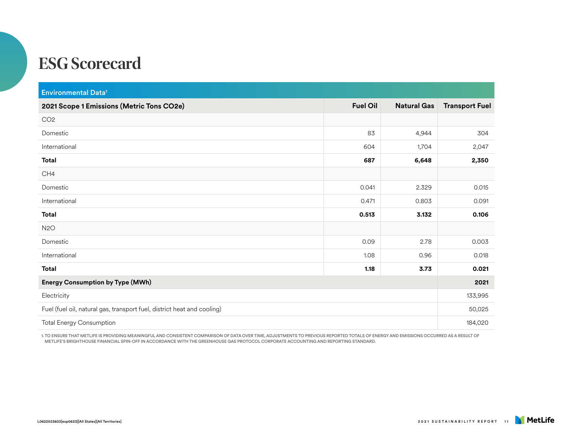| <b>Environmental Data<sup>1</sup></b>                                   |                 |                    |                       |  |
|-------------------------------------------------------------------------|-----------------|--------------------|-----------------------|--|
| 2021 Scope 1 Emissions (Metric Tons CO2e)                               | <b>Fuel Oil</b> | <b>Natural Gas</b> | <b>Transport Fuel</b> |  |
| CO <sub>2</sub>                                                         |                 |                    |                       |  |
| Domestic                                                                | 83              | 4,944              | 304                   |  |
| International                                                           | 604             | 1,704              | 2,047                 |  |
| <b>Total</b>                                                            | 687             | 6,648              | 2,350                 |  |
| CH4                                                                     |                 |                    |                       |  |
| Domestic                                                                | 0.041           | 2.329              | 0.015                 |  |
| International                                                           | 0.471           | 0.803              | 0.091                 |  |
| <b>Total</b>                                                            | 0.513           | 3.132              | 0.106                 |  |
| N <sub>2</sub> O                                                        |                 |                    |                       |  |
| Domestic                                                                | 0.09            | 2.78               | 0.003                 |  |
| International                                                           | 1.08            | 0.96               | 0.018                 |  |
| <b>Total</b>                                                            | 1.18            | 3.73               | 0.021                 |  |
| <b>Energy Consumption by Type (MWh)</b>                                 |                 |                    |                       |  |
| Electricity                                                             |                 |                    |                       |  |
| Fuel (fuel oil, natural gas, transport fuel, district heat and cooling) |                 |                    |                       |  |
| <b>Total Energy Consumption</b>                                         |                 |                    |                       |  |

1. TO ENSURE THAT METLIFE IS PROVIDING MEANINGFUL AND CONSISTENT COMPARISON OF DATA OVER TIME, ADJUSTMENTS TO PREVIOUS REPORTED TOTALS OF ENERGY AND EMISSIONS OCCURRED AS A RESULT OF METLIFE'S BRIGHTHOUSE FINANCIAL SPIN-OFF IN ACCORDANCE WITH THE GREENHOUSE GAS PROTOCOL CORPORATE ACCOUNTING AND REPORTING STANDARD.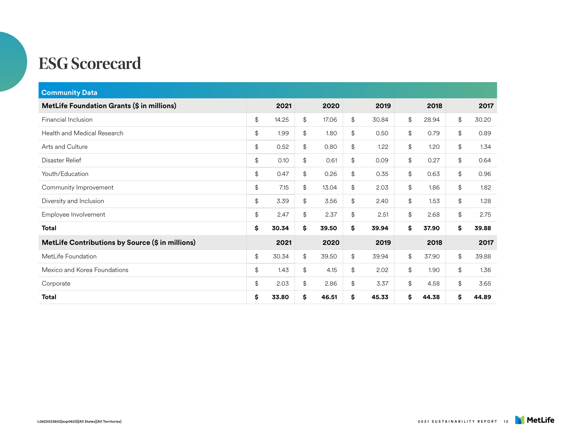| <b>Community Data</b>                            |             |     |       |             |             |             |
|--------------------------------------------------|-------------|-----|-------|-------------|-------------|-------------|
| MetLife Foundation Grants (\$ in millions)       | 2021        |     | 2020  | 2019        | 2018        | 2017        |
| Financial Inclusion                              | \$<br>14.25 | \$  | 17.06 | \$<br>30.84 | \$<br>28.94 | \$<br>30.20 |
| Health and Medical Research                      | \$<br>1.99  | \$  | 1.80  | \$<br>0.50  | \$<br>0.79  | \$<br>0.89  |
| Arts and Culture                                 | \$<br>0.52  | \$  | 0.80  | \$<br>1.22  | \$<br>1.20  | \$<br>1.34  |
| Disaster Relief                                  | \$<br>0.10  | \$  | 0.61  | \$<br>0.09  | \$<br>0.27  | \$<br>0.64  |
| Youth/Education                                  | \$<br>0.47  | \$  | 0.26  | \$<br>0.35  | \$<br>0.63  | \$<br>0.96  |
| Community Improvement                            | \$<br>7.15  | \$  | 13.04 | \$<br>2.03  | \$<br>1.86  | \$<br>1.82  |
| Diversity and Inclusion                          | \$<br>3.39  | \$  | 3.56  | \$<br>2.40  | \$<br>1.53  | \$<br>1.28  |
| Employee Involvement                             | \$<br>2.47  | \$  | 2.37  | \$<br>2.51  | \$<br>2.68  | \$<br>2.75  |
| <b>Total</b>                                     | \$<br>30.34 | \$  | 39.50 | \$<br>39.94 | \$<br>37.90 | \$<br>39.88 |
| MetLife Contributions by Source (\$ in millions) | 2021        |     | 2020  | 2019        | 2018        | 2017        |
| MetLife Foundation                               | \$<br>30.34 | \$  | 39.50 | \$<br>39.94 | \$<br>37.90 | \$<br>39.88 |
| Mexico and Korea Foundations                     | \$<br>1.43  | \$  | 4.15  | \$<br>2.02  | \$<br>1.90  | \$<br>1.36  |
| Corporate                                        | \$<br>2.03  | \$  | 2.86  | \$<br>3.37  | \$<br>4.58  | \$<br>3.65  |
| <b>Total</b>                                     | \$<br>33.80 | \$. | 46.51 | \$<br>45.33 | \$<br>44.38 | \$<br>44.89 |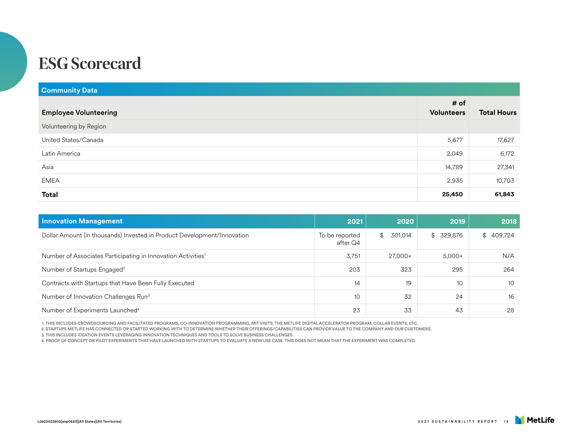| <b>Community Data</b>        |                           |                    |
|------------------------------|---------------------------|--------------------|
| <b>Employee Volunteering</b> | # of<br><b>Volunteers</b> | <b>Total Hours</b> |
| Volunteering by Region       |                           |                    |
| United States/Canada         | 5,677                     | 17,627             |
| Latin America                | 2,049                     | 6,172              |
| Asia                         | 14,789                    | 27,341             |
| EMEA                         | 2,935                     | 10,703             |
| <b>Total</b>                 | 25,450                    | 61,843             |

| <b>Innovation Management</b>                                             | 2021                       | 2020          | 2019            | 2018           |
|--------------------------------------------------------------------------|----------------------------|---------------|-----------------|----------------|
| Dollar Amount (in thousands) Invested in Product Development/Innovation  | To be reported<br>after Q4 | 301,014<br>\$ | \$329,876       | 409,724<br>\$. |
| Number of Associates Participating in Innovation Activities <sup>1</sup> | 3,751                      | 27,000+       | $5,000+$        | N/A            |
| Number of Startups Engaged <sup>2</sup>                                  | 203                        | 323           | 295             | 264            |
| Contracts with Startups that Have Been Fully Executed                    | 14                         | 19            | 10 <sup>°</sup> | 10             |
| Number of Innovation Challenges Run <sup>3</sup>                         | 10                         | 32            | 24              | 16             |
| Number of Experiments Launched <sup>4</sup>                              | 23                         | 33            | 43              | 28             |

1. THIS INCLUDES CROWDSOURCING AND FACILITATED PROGRAMS, CO-INNOVATION PROGRAMMING, MIT VISITS, THE METLIFE DIGITAL ACCELERATOR PROGRAM, COLLAB EVENTS, ETC.

2. STARTUPS METLIFE HAS CONNECTED OR STARTED WORKING WITH TO DETERMINE WHETHER THEIR OFFERINGS/CAPABILITIES CAN PROVIDE VALUE TO THE COMPANY AND OUR CUSTOMERS.

3. THIS INCLUDES IDEATION EVENTS LEVERAGING INNOVATION TECHNIQUES AND TOOLS TO SOLVE BUSINESS CHALLENGES.

4. PROOF OF CONCEPT OR PILOT EXPERIMENTS THAT HAVE LAUNCHED WITH STARTUPS TO EVALUATE A NEW USE CASE. THIS DOES NOT MEAN THAT THE EXPERIMENT WAS COMPLETED.